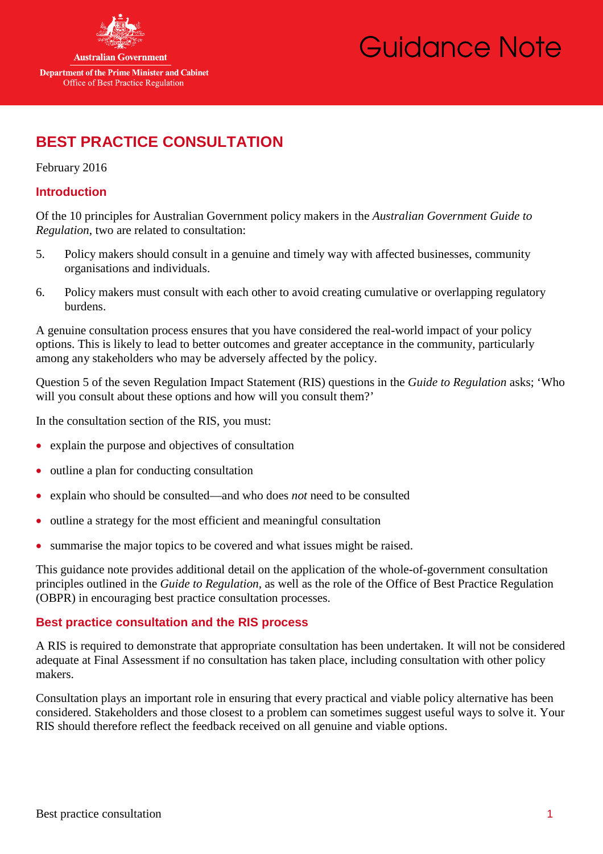

**Australian Government** 

**Department of the Prime Minister and Cabinet** Office of Best Practice Regulation

# Guidance Note

# **BEST PRACTICE CONSULTATION**

February 2016

# **Introduction**

Of the 10 principles for Australian Government policy makers in the *Australian Government Guide to Regulation*, two are related to consultation:

- 5. Policy makers should consult in a genuine and timely way with affected businesses, community organisations and individuals.
- 6. Policy makers must consult with each other to avoid creating cumulative or overlapping regulatory burdens.

A genuine consultation process ensures that you have considered the real-world impact of your policy options. This is likely to lead to better outcomes and greater acceptance in the community, particularly among any stakeholders who may be adversely affected by the policy.

Question 5 of the seven Regulation Impact Statement (RIS) questions in the *Guide to Regulation* asks; 'Who will you consult about these options and how will you consult them?'

In the consultation section of the RIS, you must:

- explain the purpose and objectives of consultation
- outline a plan for conducting consultation
- explain who should be consulted—and who does *not* need to be consulted
- outline a strategy for the most efficient and meaningful consultation
- summarise the major topics to be covered and what issues might be raised.

This guidance note provides additional detail on the application of the whole-of-government consultation principles outlined in the *Guide to Regulation*, as well as the role of the Office of Best Practice Regulation (OBPR) in encouraging best practice consultation processes.

# **Best practice consultation and the RIS process**

A RIS is required to demonstrate that appropriate consultation has been undertaken. It will not be considered adequate at Final Assessment if no consultation has taken place, including consultation with other policy makers.

Consultation plays an important role in ensuring that every practical and viable policy alternative has been considered. Stakeholders and those closest to a problem can sometimes suggest useful ways to solve it. Your RIS should therefore reflect the feedback received on all genuine and viable options.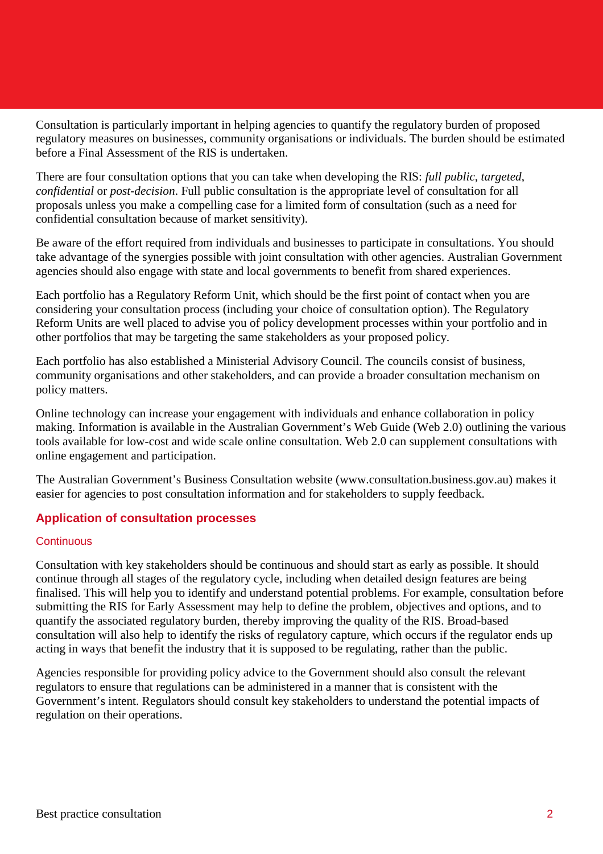Consultation is particularly important in helping agencies to quantify the regulatory burden of proposed regulatory measures on businesses, community organisations or individuals. The burden should be estimated before a Final Assessment of the RIS is undertaken.

There are four consultation options that you can take when developing the RIS: *full public*, *targeted*, *confidential* or *post-decision*. Full public consultation is the appropriate level of consultation for all proposals unless you make a compelling case for a limited form of consultation (such as a need for confidential consultation because of market sensitivity).

Be aware of the effort required from individuals and businesses to participate in consultations. You should take advantage of the synergies possible with joint consultation with other agencies. Australian Government agencies should also engage with state and local governments to benefit from shared experiences.

Each portfolio has a Regulatory Reform Unit, which should be the first point of contact when you are considering your consultation process (including your choice of consultation option). The Regulatory Reform Units are well placed to advise you of policy development processes within your portfolio and in other portfolios that may be targeting the same stakeholders as your proposed policy.

Each portfolio has also established a Ministerial Advisory Council. The councils consist of business, community organisations and other stakeholders, and can provide a broader consultation mechanism on policy matters.

Online technology can increase your engagement with individuals and enhance collaboration in policy making. Information is available in the Australian Government's Web Guide [\(Web 2.0\)](http://webguide.gov.au/web-2-0) outlining the various tools available for low-cost and wide scale online consultation. Web 2.0 can supplement consultations with online engagement and participation.

The Australian Government's Business Consultation website [\(www.consultation.business.gov.au\)](http://www.consultation.business.gov.au/consultation/) makes it easier for agencies to post consultation information and for stakeholders to supply feedback.

# **Application of consultation processes**

#### **Continuous**

Consultation with key stakeholders should be continuous and should start as early as possible. It should continue through all stages of the regulatory cycle, including when detailed design features are being finalised. This will help you to identify and understand potential problems. For example, consultation before submitting the RIS for Early Assessment may help to define the problem, objectives and options, and to quantify the associated regulatory burden, thereby improving the quality of the RIS. Broad-based consultation will also help to identify the risks of regulatory capture, which occurs if the regulator ends up acting in ways that benefit the industry that it is supposed to be regulating, rather than the public.

Agencies responsible for providing policy advice to the Government should also consult the relevant regulators to ensure that regulations can be administered in a manner that is consistent with the Government's intent. Regulators should consult key stakeholders to understand the potential impacts of regulation on their operations.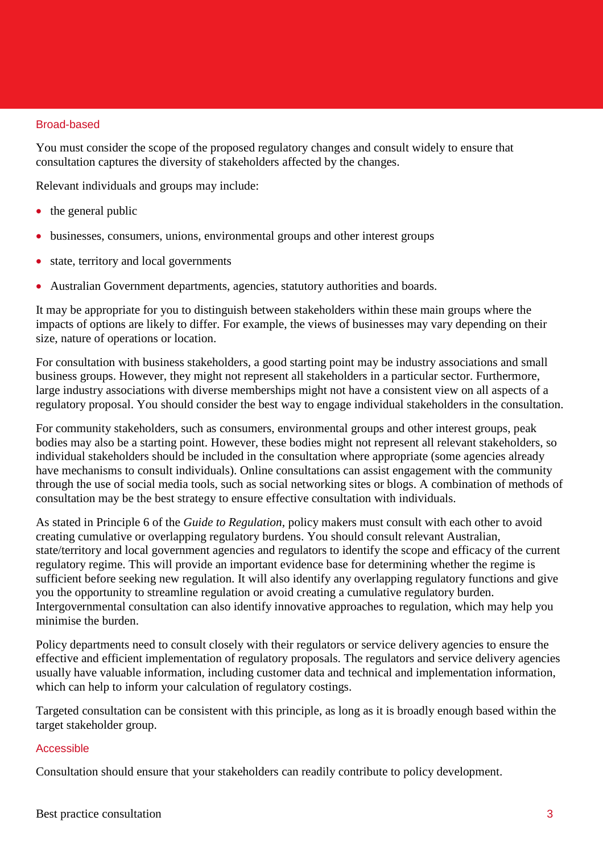#### Broad-based

You must consider the scope of the proposed regulatory changes and consult widely to ensure that consultation captures the diversity of stakeholders affected by the changes.

Relevant individuals and groups may include:

- the general public
- businesses, consumers, unions, environmental groups and other interest groups
- state, territory and local governments
- Australian Government departments, agencies, statutory authorities and boards.

It may be appropriate for you to distinguish between stakeholders within these main groups where the impacts of options are likely to differ. For example, the views of businesses may vary depending on their size, nature of operations or location.

For consultation with business stakeholders, a good starting point may be industry associations and small business groups. However, they might not represent all stakeholders in a particular sector. Furthermore, large industry associations with diverse memberships might not have a consistent view on all aspects of a regulatory proposal. You should consider the best way to engage individual stakeholders in the consultation.

For community stakeholders, such as consumers, environmental groups and other interest groups, peak bodies may also be a starting point. However, these bodies might not represent all relevant stakeholders, so individual stakeholders should be included in the consultation where appropriate (some agencies already have mechanisms to consult individuals). Online consultations can assist engagement with the community through the use of social media tools, such as social networking sites or blogs. A combination of methods of consultation may be the best strategy to ensure effective consultation with individuals.

As stated in Principle 6 of the *Guide to Regulation*, policy makers must consult with each other to avoid creating cumulative or overlapping regulatory burdens. You should consult relevant Australian, state/territory and local government agencies and regulators to identify the scope and efficacy of the current regulatory regime. This will provide an important evidence base for determining whether the regime is sufficient before seeking new regulation. It will also identify any overlapping regulatory functions and give you the opportunity to streamline regulation or avoid creating a cumulative regulatory burden. Intergovernmental consultation can also identify innovative approaches to regulation, which may help you minimise the burden.

Policy departments need to consult closely with their regulators or service delivery agencies to ensure the effective and efficient implementation of regulatory proposals. The regulators and service delivery agencies usually have valuable information, including customer data and technical and implementation information, which can help to inform your calculation of regulatory costings.

Targeted consultation can be consistent with this principle, as long as it is broadly enough based within the target stakeholder group.

#### Accessible

Consultation should ensure that your stakeholders can readily contribute to policy development.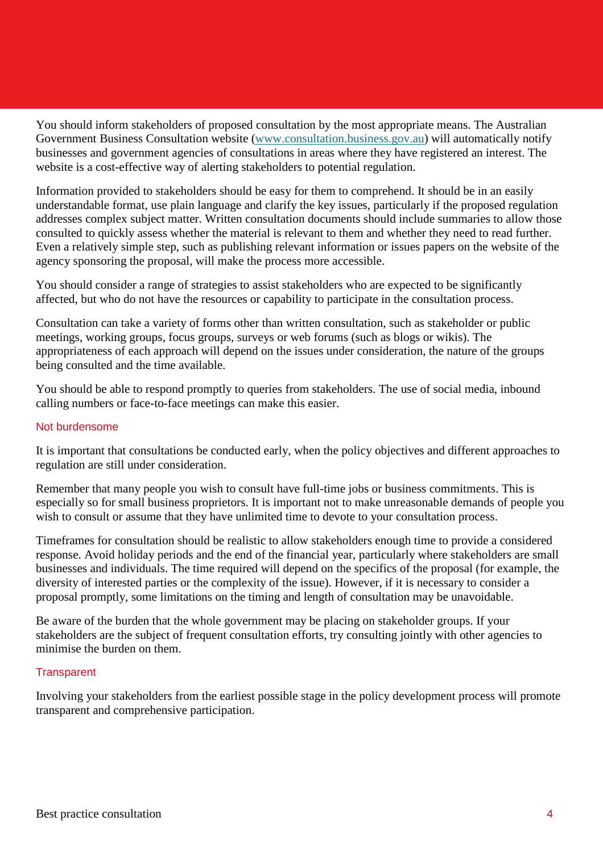You should inform stakeholders of proposed consultation by the most appropriate means. The Australian Government Business Consultation website [\(www.consultation.business.gov.au\)](http://www.consultation.business.gov.au/) will automatically notify businesses and government agencies of consultations in areas where they have registered an interest. The website is a cost-effective way of alerting stakeholders to potential regulation.

Information provided to stakeholders should be easy for them to comprehend. It should be in an easily understandable format, use plain language and clarify the key issues, particularly if the proposed regulation addresses complex subject matter. Written consultation documents should include summaries to allow those consulted to quickly assess whether the material is relevant to them and whether they need to read further. Even a relatively simple step, such as publishing relevant information or issues papers on the website of the agency sponsoring the proposal, will make the process more accessible.

You should consider a range of strategies to assist stakeholders who are expected to be significantly affected, but who do not have the resources or capability to participate in the consultation process.

Consultation can take a variety of forms other than written consultation, such as stakeholder or public meetings, working groups, focus groups, surveys or web forums (such as blogs or wikis). The appropriateness of each approach will depend on the issues under consideration, the nature of the groups being consulted and the time available.

You should be able to respond promptly to queries from stakeholders. The use of social media, inbound calling numbers or face-to-face meetings can make this easier.

#### Not burdensome

It is important that consultations be conducted early, when the policy objectives and different approaches to regulation are still under consideration.

Remember that many people you wish to consult have full-time jobs or business commitments. This is especially so for small business proprietors. It is important not to make unreasonable demands of people you wish to consult or assume that they have unlimited time to devote to your consultation process.

Timeframes for consultation should be realistic to allow stakeholders enough time to provide a considered response. Avoid holiday periods and the end of the financial year, particularly where stakeholders are small businesses and individuals. The time required will depend on the specifics of the proposal (for example, the diversity of interested parties or the complexity of the issue). However, if it is necessary to consider a proposal promptly, some limitations on the timing and length of consultation may be unavoidable.

Be aware of the burden that the whole government may be placing on stakeholder groups. If your stakeholders are the subject of frequent consultation efforts, try consulting jointly with other agencies to minimise the burden on them.

#### **Transparent**

Involving your stakeholders from the earliest possible stage in the policy development process will promote transparent and comprehensive participation.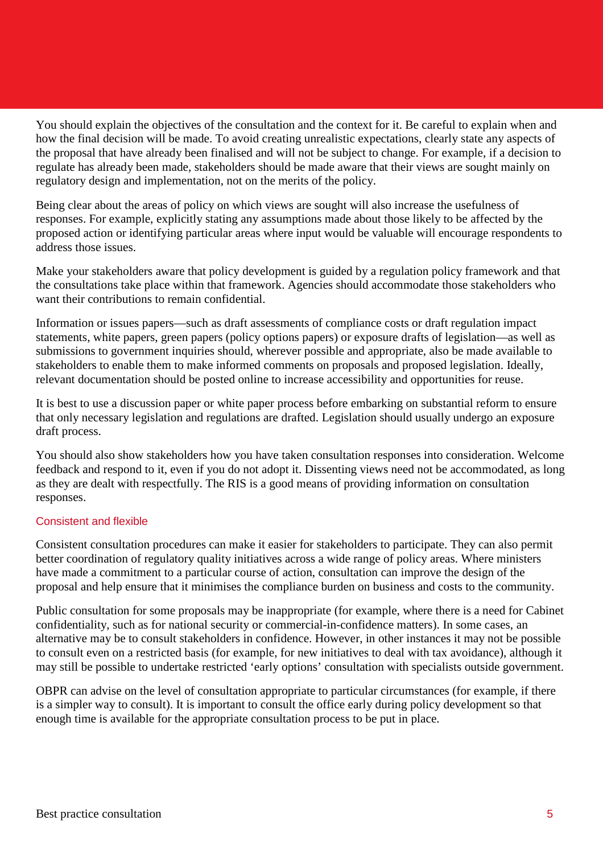You should explain the objectives of the consultation and the context for it. Be careful to explain when and how the final decision will be made. To avoid creating unrealistic expectations, clearly state any aspects of the proposal that have already been finalised and will not be subject to change. For example, if a decision to regulate has already been made, stakeholders should be made aware that their views are sought mainly on regulatory design and implementation, not on the merits of the policy.

Being clear about the areas of policy on which views are sought will also increase the usefulness of responses. For example, explicitly stating any assumptions made about those likely to be affected by the proposed action or identifying particular areas where input would be valuable will encourage respondents to address those issues.

Make your stakeholders aware that policy development is guided by a regulation policy framework and that the consultations take place within that framework. Agencies should accommodate those stakeholders who want their contributions to remain confidential.

Information or issues papers—such as draft assessments of compliance costs or draft regulation impact statements, white papers, green papers (policy options papers) or exposure drafts of legislation—as well as submissions to government inquiries should, wherever possible and appropriate, also be made available to stakeholders to enable them to make informed comments on proposals and proposed legislation. Ideally, relevant documentation should be posted online to increase accessibility and opportunities for reuse.

It is best to use a discussion paper or white paper process before embarking on substantial reform to ensure that only necessary legislation and regulations are drafted. Legislation should usually undergo an exposure draft process.

You should also show stakeholders how you have taken consultation responses into consideration. Welcome feedback and respond to it, even if you do not adopt it. Dissenting views need not be accommodated, as long as they are dealt with respectfully. The RIS is a good means of providing information on consultation responses.

#### Consistent and flexible

Consistent consultation procedures can make it easier for stakeholders to participate. They can also permit better coordination of regulatory quality initiatives across a wide range of policy areas. Where ministers have made a commitment to a particular course of action, consultation can improve the design of the proposal and help ensure that it minimises the compliance burden on business and costs to the community.

Public consultation for some proposals may be inappropriate (for example, where there is a need for Cabinet confidentiality, such as for national security or commercial-in-confidence matters). In some cases, an alternative may be to consult stakeholders in confidence. However, in other instances it may not be possible to consult even on a restricted basis (for example, for new initiatives to deal with tax avoidance), although it may still be possible to undertake restricted 'early options' consultation with specialists outside government.

OBPR can advise on the level of consultation appropriate to particular circumstances (for example, if there is a simpler way to consult). It is important to consult the office early during policy development so that enough time is available for the appropriate consultation process to be put in place.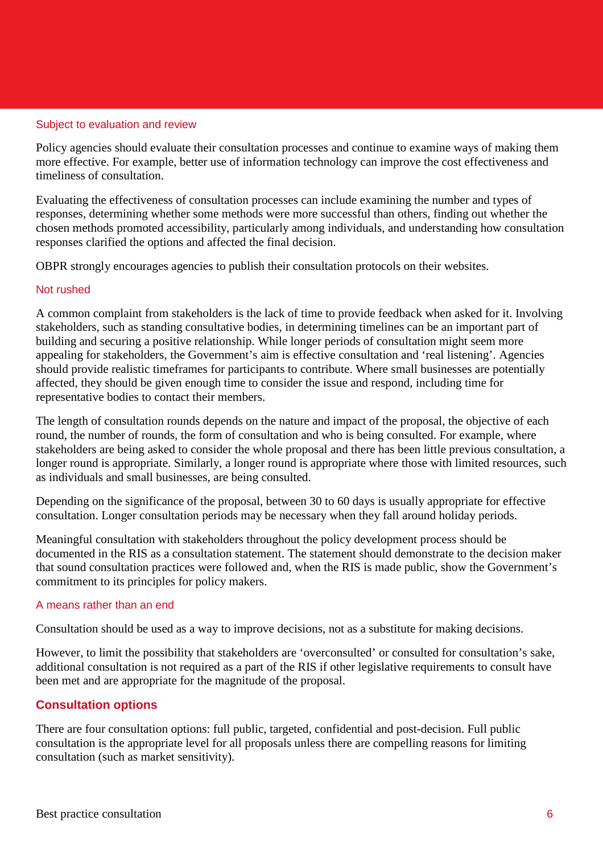#### Subject to evaluation and review

Policy agencies should evaluate their consultation processes and continue to examine ways of making them more effective. For example, better use of information technology can improve the cost effectiveness and timeliness of consultation.

Evaluating the effectiveness of consultation processes can include examining the number and types of responses, determining whether some methods were more successful than others, finding out whether the chosen methods promoted accessibility, particularly among individuals, and understanding how consultation responses clarified the options and affected the final decision.

OBPR strongly encourages agencies to publish their consultation protocols on their websites.

#### Not rushed

A common complaint from stakeholders is the lack of time to provide feedback when asked for it. Involving stakeholders, such as standing consultative bodies, in determining timelines can be an important part of building and securing a positive relationship. While longer periods of consultation might seem more appealing for stakeholders, the Government's aim is effective consultation and 'real listening'. Agencies should provide realistic timeframes for participants to contribute. Where small businesses are potentially affected, they should be given enough time to consider the issue and respond, including time for representative bodies to contact their members.

The length of consultation rounds depends on the nature and impact of the proposal, the objective of each round, the number of rounds, the form of consultation and who is being consulted. For example, where stakeholders are being asked to consider the whole proposal and there has been little previous consultation, a longer round is appropriate. Similarly, a longer round is appropriate where those with limited resources, such as individuals and small businesses, are being consulted.

Depending on the significance of the proposal, between 30 to 60 days is usually appropriate for effective consultation. Longer consultation periods may be necessary when they fall around holiday periods.

Meaningful consultation with stakeholders throughout the policy development process should be documented in the RIS as a consultation statement. The statement should demonstrate to the decision maker that sound consultation practices were followed and, when the RIS is made public, show the Government's commitment to its principles for policy makers.

#### A means rather than an end

Consultation should be used as a way to improve decisions, not as a substitute for making decisions.

However, to limit the possibility that stakeholders are 'overconsulted' or consulted for consultation's sake, additional consultation is not required as a part of the RIS if other legislative requirements to consult have been met and are appropriate for the magnitude of the proposal.

#### **Consultation options**

There are four consultation options: full public, targeted, confidential and post-decision. Full public consultation is the appropriate level for all proposals unless there are compelling reasons for limiting consultation (such as market sensitivity).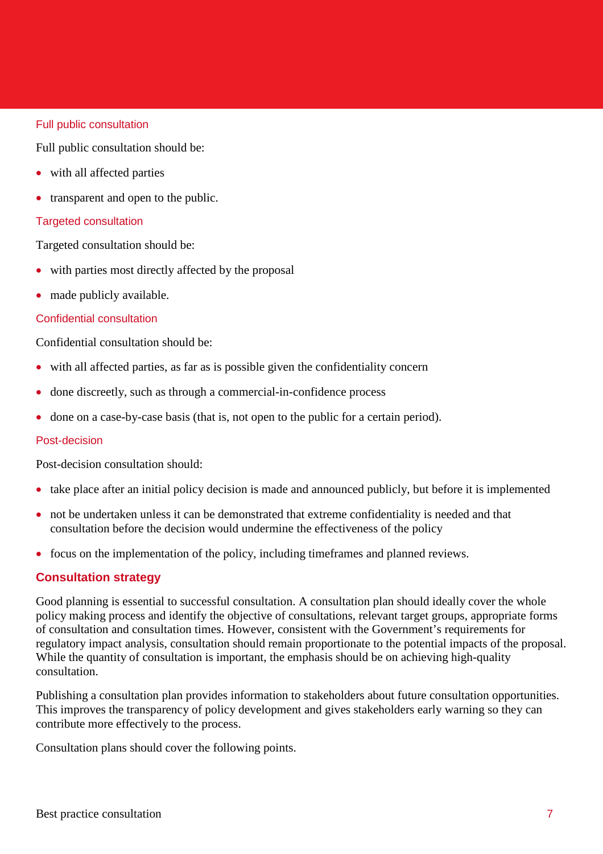#### Full public consultation

Full public consultation should be:

- with all affected parties
- transparent and open to the public.

### Targeted consultation

Targeted consultation should be:

- with parties most directly affected by the proposal
- made publicly available.

#### Confidential consultation

Confidential consultation should be:

- with all affected parties, as far as is possible given the confidentiality concern
- done discreetly, such as through a commercial-in-confidence process
- done on a case-by-case basis (that is, not open to the public for a certain period).

#### Post-decision

Post-decision consultation should:

- take place after an initial policy decision is made and announced publicly, but before it is implemented
- not be undertaken unless it can be demonstrated that extreme confidentiality is needed and that consultation before the decision would undermine the effectiveness of the policy
- focus on the implementation of the policy, including timeframes and planned reviews.

# **Consultation strategy**

Good planning is essential to successful consultation. A consultation plan should ideally cover the whole policy making process and identify the objective of consultations, relevant target groups, appropriate forms of consultation and consultation times. However, consistent with the Government's requirements for regulatory impact analysis, consultation should remain proportionate to the potential impacts of the proposal. While the quantity of consultation is important, the emphasis should be on achieving high-quality consultation.

Publishing a consultation plan provides information to stakeholders about future consultation opportunities. This improves the transparency of policy development and gives stakeholders early warning so they can contribute more effectively to the process.

Consultation plans should cover the following points.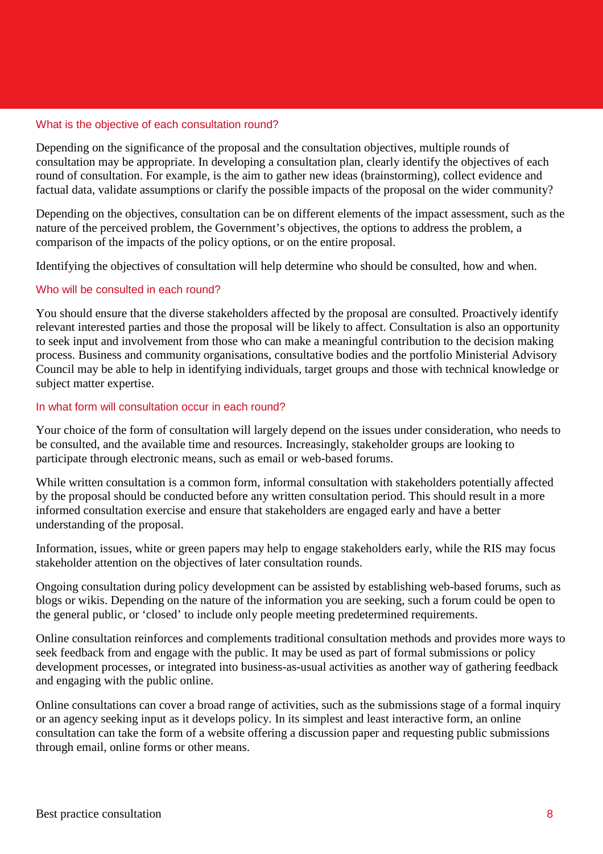#### What is the objective of each consultation round?

Depending on the significance of the proposal and the consultation objectives, multiple rounds of consultation may be appropriate. In developing a consultation plan, clearly identify the objectives of each round of consultation. For example, is the aim to gather new ideas (brainstorming), collect evidence and factual data, validate assumptions or clarify the possible impacts of the proposal on the wider community?

Depending on the objectives, consultation can be on different elements of the impact assessment, such as the nature of the perceived problem, the Government's objectives, the options to address the problem, a comparison of the impacts of the policy options, or on the entire proposal.

Identifying the objectives of consultation will help determine who should be consulted, how and when.

#### Who will be consulted in each round?

You should ensure that the diverse stakeholders affected by the proposal are consulted. Proactively identify relevant interested parties and those the proposal will be likely to affect. Consultation is also an opportunity to seek input and involvement from those who can make a meaningful contribution to the decision making process. Business and community organisations, consultative bodies and the portfolio Ministerial Advisory Council may be able to help in identifying individuals, target groups and those with technical knowledge or subject matter expertise.

## In what form will consultation occur in each round?

Your choice of the form of consultation will largely depend on the issues under consideration, who needs to be consulted, and the available time and resources. Increasingly, stakeholder groups are looking to participate through electronic means, such as email or web-based forums.

While written consultation is a common form, informal consultation with stakeholders potentially affected by the proposal should be conducted before any written consultation period. This should result in a more informed consultation exercise and ensure that stakeholders are engaged early and have a better understanding of the proposal.

Information, issues, white or green papers may help to engage stakeholders early, while the RIS may focus stakeholder attention on the objectives of later consultation rounds.

Ongoing consultation during policy development can be assisted by establishing web-based forums, such as blogs or wikis. Depending on the nature of the information you are seeking, such a forum could be open to the general public, or 'closed' to include only people meeting predetermined requirements.

Online consultation reinforces and complements traditional consultation methods and provides more ways to seek feedback from and engage with the public. It may be used as part of formal submissions or policy development processes, or integrated into business-as-usual activities as another way of gathering feedback and engaging with the public online.

Online consultations can cover a broad range of activities, such as the submissions stage of a formal inquiry or an agency seeking input as it develops policy. In its simplest and least interactive form, an online consultation can take the form of a website offering a discussion paper and requesting public submissions through email, online forms or other means.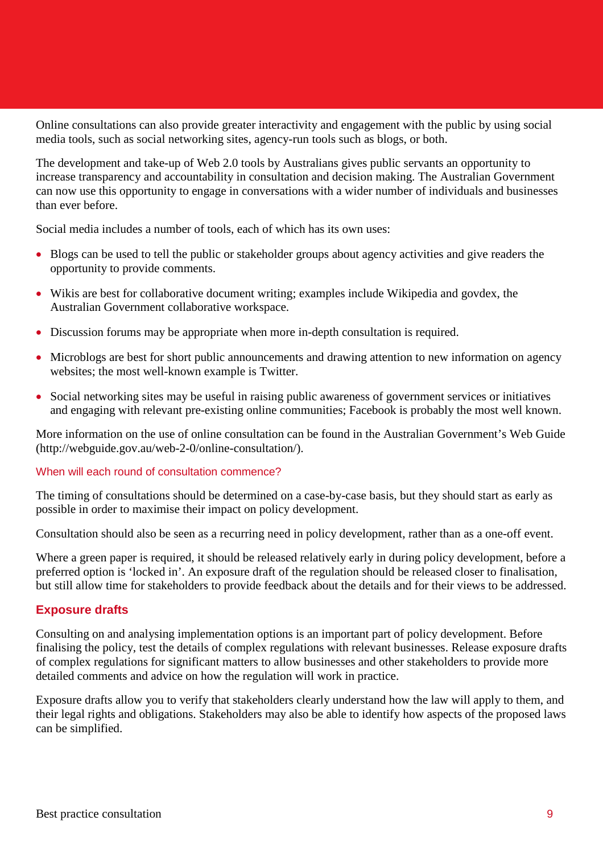Online consultations can also provide greater interactivity and engagement with the public by using social media tools, such as social networking sites, agency-run tools such as blogs, or both.

The development and take-up of Web 2.0 tools by Australians gives public servants an opportunity to increase transparency and accountability in consultation and decision making. The Australian Government can now use this opportunity to engage in conversations with a wider number of individuals and businesses than ever before.

Social media includes a number of tools, each of which has its own uses:

- Blogs can be used to tell the public or stakeholder groups about agency activities and give readers the opportunity to provide comments.
- Wikis are best for collaborative document writing; examples include Wikipedia and govdex, the Australian Government collaborative workspace.
- Discussion forums may be appropriate when more in-depth consultation is required.
- Microblogs are best for short public announcements and drawing attention to new information on agency websites; the most well-known example is Twitter.
- Social networking sites may be useful in raising public awareness of government services or initiatives and engaging with relevant pre-existing online communities; Facebook is probably the most well known.

More information on the use of online consultation can be found in the Australian Government's Web Guide (http://webguide.gov.au/web-2-0/online-consultation/).

#### When will each round of consultation commence?

The timing of consultations should be determined on a case-by-case basis, but they should start as early as possible in order to maximise their impact on policy development.

Consultation should also be seen as a recurring need in policy development, rather than as a one-off event.

Where a green paper is required, it should be released relatively early in during policy development, before a preferred option is 'locked in'. An exposure draft of the regulation should be released closer to finalisation, but still allow time for stakeholders to provide feedback about the details and for their views to be addressed.

#### **Exposure drafts**

Consulting on and analysing implementation options is an important part of policy development. Before finalising the policy, test the details of complex regulations with relevant businesses. Release exposure drafts of complex regulations for significant matters to allow businesses and other stakeholders to provide more detailed comments and advice on how the regulation will work in practice.

Exposure drafts allow you to verify that stakeholders clearly understand how the law will apply to them, and their legal rights and obligations. Stakeholders may also be able to identify how aspects of the proposed laws can be simplified.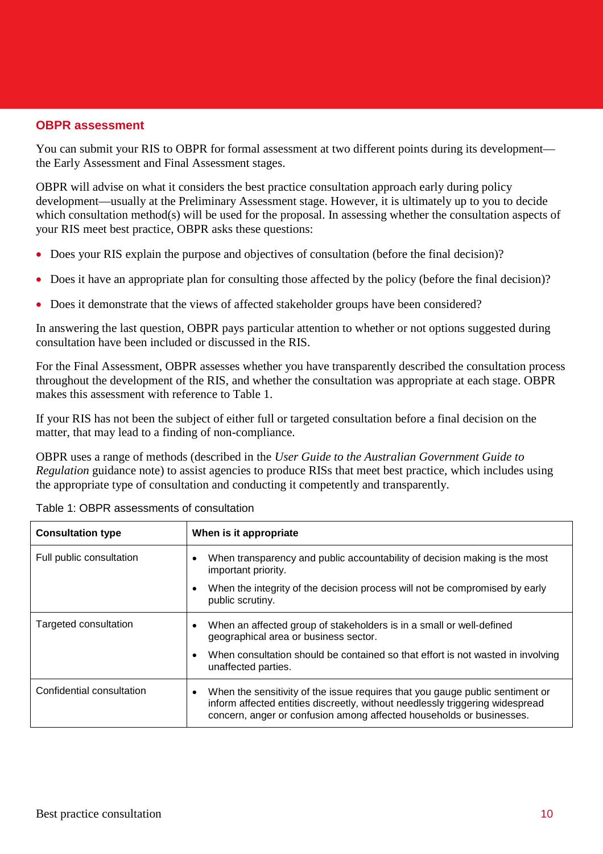#### **OBPR assessment**

You can submit your RIS to OBPR for formal assessment at two different points during its development the Early Assessment and Final Assessment stages.

OBPR will advise on what it considers the best practice consultation approach early during policy development—usually at the Preliminary Assessment stage. However, it is ultimately up to you to decide which consultation method(s) will be used for the proposal. In assessing whether the consultation aspects of your RIS meet best practice, OBPR asks these questions:

- Does your RIS explain the purpose and objectives of consultation (before the final decision)?
- Does it have an appropriate plan for consulting those affected by the policy (before the final decision)?
- Does it demonstrate that the views of affected stakeholder groups have been considered?

In answering the last question, OBPR pays particular attention to whether or not options suggested during consultation have been included or discussed in the RIS.

For the Final Assessment, OBPR assesses whether you have transparently described the consultation process throughout the development of the RIS, and whether the consultation was appropriate at each stage. OBPR makes this assessment with reference to Table 1.

If your RIS has not been the subject of either full or targeted consultation before a final decision on the matter, that may lead to a finding of non-compliance.

OBPR uses a range of methods (described in the *User Guide to the Australian Government Guide to Regulation* guidance note) to assist agencies to produce RISs that meet best practice, which includes using the appropriate type of consultation and conducting it competently and transparently.

| <b>Consultation type</b>  | When is it appropriate                                                                                                                                                                                                                              |
|---------------------------|-----------------------------------------------------------------------------------------------------------------------------------------------------------------------------------------------------------------------------------------------------|
| Full public consultation  | When transparency and public accountability of decision making is the most<br>٠<br>important priority.                                                                                                                                              |
|                           | When the integrity of the decision process will not be compromised by early<br>٠<br>public scrutiny.                                                                                                                                                |
| Targeted consultation     | When an affected group of stakeholders is in a small or well-defined<br>٠<br>geographical area or business sector.                                                                                                                                  |
|                           | When consultation should be contained so that effort is not wasted in involving<br>$\bullet$<br>unaffected parties.                                                                                                                                 |
| Confidential consultation | When the sensitivity of the issue requires that you gauge public sentiment or<br>$\bullet$<br>inform affected entities discreetly, without needlessly triggering widespread<br>concern, anger or confusion among affected households or businesses. |